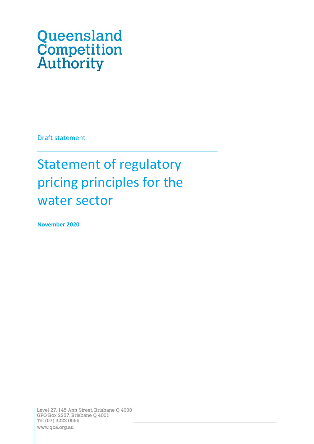# Queensland<br>Competition<br>Authority

Draft statement

# Statement of regulatory pricing principles for the water sector

**November 2020**

Level 27, 145 Ann Street, Brisbane Q 4000 GPO Box 2257, Brisbane Q 4001 Tel (07) 3222 0555 www.qca.org.au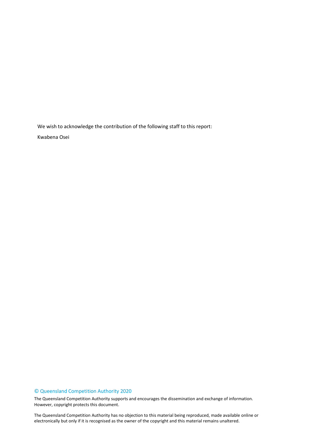We wish to acknowledge the contribution of the following staff to this report:

Kwabena Osei

#### © Queensland Competition Authority 2020

The Queensland Competition Authority supports and encourages the dissemination and exchange of information. However, copyright protects this document.

2 electronically but only if it is recognised as the owner of the copyright and this material remains unaltered.The Queensland Competition Authority has no objection to this material being reproduced, made available online or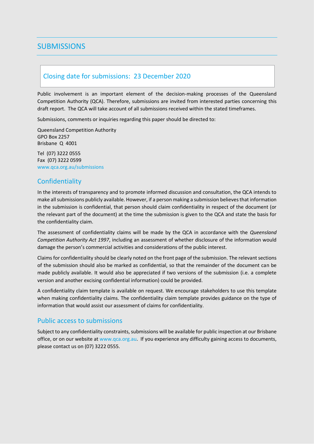# <span id="page-2-0"></span>**SUBMISSIONS**

# <span id="page-2-1"></span>Closing date for submissions: 23 December 2020

Public involvement is an important element of the decision-making processes of the Queensland Competition Authority (QCA). Therefore, submissions are invited from interested parties concerning this draft report. The QCA will take account of all submissions received within the stated timeframes.

Submissions, comments or inquiries regarding this paper should be directed to:

Queensland Competition Authority GPO Box 2257 Brisbane Q 4001

Tel (07) 3222 0555 Fax (07) 3222 0599 www.qca.org.au/submissions

# <span id="page-2-2"></span>**Confidentiality**

In the interests of transparency and to promote informed discussion and consultation, the QCA intends to make all submissions publicly available. However, if a person making a submission believes that information in the submission is confidential, that person should claim confidentiality in respect of the document (or the relevant part of the document) at the time the submission is given to the QCA and state the basis for the confidentiality claim.

The assessment of confidentiality claims will be made by the QCA in accordance with the *Queensland Competition Authority Act 1997*, including an assessment of whether disclosure of the information would damage the person's commercial activities and considerations of the public interest.

Claims for confidentiality should be clearly noted on the front page of the submission. The relevant sections of the submission should also be marked as confidential, so that the remainder of the document can be made publicly available. It would also be appreciated if two versions of the submission (i.e. a complete version and another excising confidential information) could be provided.

A confidentiality claim template is available on request. We encourage stakeholders to use this template when making confidentiality claims. The confidentiality claim template provides guidance on the type of information that would assist our assessment of claims for confidentiality.

# <span id="page-2-3"></span>Public access to submissions

Subject to any confidentiality constraints, submissions will be available for public inspection at our Brisbane office, or on our website at [www.qca.org.au.](http://www.qca.org.au/) If you experience any difficulty gaining access to documents, please contact us on (07) 3222 0555.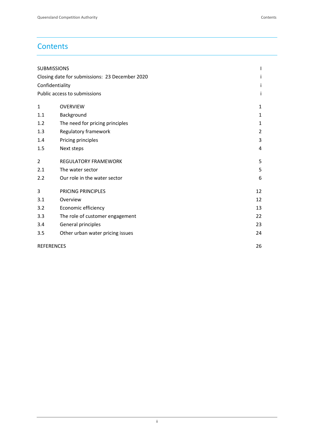# **Contents**

|                | <b>SUBMISSIONS</b>                             |    |
|----------------|------------------------------------------------|----|
|                | Closing date for submissions: 23 December 2020 | Ť  |
|                | Confidentiality                                | Ť  |
|                | Public access to submissions                   | i  |
| $\mathbf{1}$   | <b>OVERVIEW</b>                                | 1  |
| 1.1            | Background                                     | 1  |
| 1.2            | The need for pricing principles                | 1  |
| 1.3            | Regulatory framework                           | 2  |
| 1.4            | Pricing principles                             | 3  |
| 1.5            | Next steps                                     | 4  |
| $\overline{2}$ | <b>REGULATORY FRAMEWORK</b>                    | 5  |
| 2.1            | The water sector                               | 5  |
| 2.2            | Our role in the water sector                   | 6  |
| 3              | PRICING PRINCIPLES                             | 12 |
| 3.1            | Overview                                       | 12 |
| 3.2            | Economic efficiency                            | 13 |
| 3.3            | The role of customer engagement                | 22 |
| 3.4            | General principles                             | 23 |
| 3.5            | Other urban water pricing issues               | 24 |
|                | <b>REFERENCES</b>                              | 26 |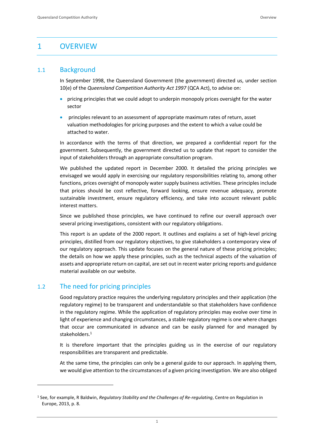# <span id="page-4-0"></span>1 OVERVIEW

# <span id="page-4-1"></span>1.1 Background

In September 1998, the Queensland Government (the government) directed us, under section 10(e) of the *Queensland Competition Authority Act 1997* (QCA Act), to advise on:

- pricing principles that we could adopt to underpin monopoly prices oversight for the water sector
- principles relevant to an assessment of appropriate maximum rates of return, asset valuation methodologies for pricing purposes and the extent to which a value could be attached to water.

In accordance with the terms of that direction, we prepared a confidential report for the government. Subsequently, the government directed us to update that report to consider the input of stakeholders through an appropriate consultation program.

We published the updated report in December 2000. It detailed the pricing principles we envisaged we would apply in exercising our regulatory responsibilities relating to, among other functions, prices oversight of monopoly water supply business activities. These principles include that prices should be cost reflective, forward looking, ensure revenue adequacy, promote sustainable investment, ensure regulatory efficiency, and take into account relevant public interest matters.

Since we published those principles, we have continued to refine our overall approach over several pricing investigations, consistent with our regulatory obligations.

This report is an update of the 2000 report. It outlines and explains a set of high-level pricing principles, distilled from our regulatory objectives, to give stakeholders a contemporary view of our regulatory approach. This update focuses on the general nature of these pricing principles; the details on how we apply these principles, such as the technical aspects of the valuation of assets and appropriate return on capital, are set out in recent water pricing reports and guidance material available on our website.

# <span id="page-4-2"></span>1.2 The need for pricing principles

Good regulatory practice requires the underlying regulatory principles and their application (the regulatory regime) to be transparent and understandable so that stakeholders have confidence in the regulatory regime. While the application of regulatory principles may evolve over time in light of experience and changing circumstances, a stable regulatory regime is one where changes that occur are communicated in advance and can be easily planned for and managed by stakeholders. 1

It is therefore important that the principles guiding us in the exercise of our regulatory responsibilities are transparent and predictable.

At the same time, the principles can only be a general guide to our approach. In applying them, we would give attention to the circumstances of a given pricing investigation. We are also obliged

<sup>1</sup> See, for example, R Baldwin, *Regulatory Stability and the Challenges of Re-regulating*, Centre on Regulation in Europe, 2013, p. 8.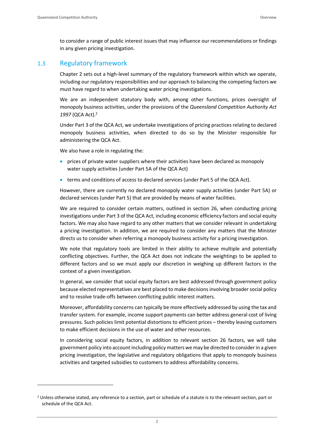to consider a range of public interest issues that may influence our recommendations or findings in any given pricing investigation.

# <span id="page-5-0"></span>1.3 Regulatory framework

Chapter 2 sets out a high-level summary of the regulatory framework within which we operate, including our regulatory responsibilities and our approach to balancing the competing factors we must have regard to when undertaking water pricing investigations.

We are an independent statutory body with, among other functions, prices oversight of monopoly business activities, under the provisions of the *Queensland Competition Authority Act 1997* (QCA Act).<sup>2</sup>

Under Part 3 of the QCA Act, we undertake investigations of pricing practices relating to declared monopoly business activities, when directed to do so by the Minister responsible for administering the QCA Act.

We also have a role in regulating the:

- prices of private water suppliers where their activities have been declared as monopoly water supply activities (under Part 5A of the QCA Act)
- terms and conditions of access to declared services (under Part 5 of the QCA Act).

However, there are currently no declared monopoly water supply activities (under Part 5A) or declared services (under Part 5) that are provided by means of water facilities.

We are required to consider certain matters, outlined in section 26, when conducting pricing investigations under Part 3 of the QCA Act, including economic efficiency factors and social equity factors. We may also have regard to any other matters that we consider relevant in undertaking a pricing investigation. In addition, we are required to consider any matters that the Minister directs us to consider when referring a monopoly business activity for a pricing investigation.

We note that regulatory tools are limited in their ability to achieve multiple and potentially conflicting objectives. Further, the QCA Act does not indicate the weightings to be applied to different factors and so we must apply our discretion in weighing up different factors in the context of a given investigation.

In general, we consider that social equity factors are best addressed through government policy because elected representatives are best placed to make decisions involving broader social policy and to resolve trade-offs between conflicting public interest matters.

Moreover, affordability concerns can typically be more effectively addressed by using the tax and transfer system. For example, income support payments can better address general cost of living pressures. Such policies limit potential distortions to efficient prices – thereby leaving customers to make efficient decisions in the use of water and other resources.

In considering social equity factors, in addition to relevant section 26 factors, we will take government policy into account including policy matters we may be directed to consider in a given pricing investigation, the legislative and regulatory obligations that apply to monopoly business activities and targeted subsidies to customers to address affordability concerns.

<sup>&</sup>lt;sup>2</sup> Unless otherwise stated, any reference to a section, part or schedule of a statute is to the relevant section, part or schedule of the QCA Act.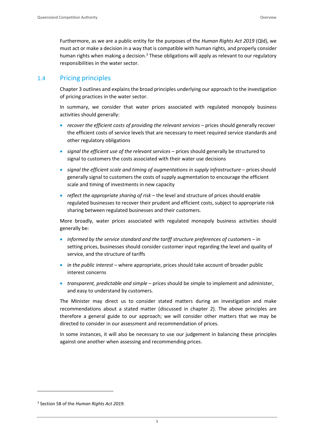Furthermore, as we are a public entity for the purposes of the *Human Rights Act 2019* (Qld), we must act or make a decision in a way that is compatible with human rights, and properly consider human rights when making a decision.<sup>3</sup> These obligations will apply as relevant to our regulatory responsibilities in the water sector.

# <span id="page-6-0"></span>1.4 Pricing principles

Chapter 3 outlines and explains the broad principles underlying our approach to the investigation of pricing practices in the water sector.

In summary, we consider that water prices associated with regulated monopoly business activities should generally:

- *recover the efficient costs of providing the relevant services* prices should generally recover the efficient costs of service levels that are necessary to meet required service standards and other regulatory obligations
- *signal the efficient use of the relevant services* prices should generally be structured to signal to customers the costs associated with their water use decisions
- *signal the efficient scale and timing of augmentations in supply infrastructure* prices should generally signal to customers the costs of supply augmentation to encourage the efficient scale and timing of investments in new capacity
- *reflect the appropriate sharing of risk* the level and structure of prices should enable regulated businesses to recover their prudent and efficient costs, subject to appropriate risk sharing between regulated businesses and their customers.

More broadly, water prices associated with regulated monopoly business activities should generally be:

- *informed by the service standard and the tariff structure preferences of customers* in setting prices, businesses should consider customer input regarding the level and quality of service, and the structure of tariffs
- *in the public interest* where appropriate, prices should take account of broader public interest concerns
- *transparent, predictable and simple* prices should be simple to implement and administer, and easy to understand by customers.

The Minister may direct us to consider stated matters during an investigation and make recommendations about a stated matter (discussed in chapter 2). The above principles are therefore a general guide to our approach; we will consider other matters that we may be directed to consider in our assessment and recommendation of prices.

In some instances, it will also be necessary to use our judgement in balancing these principles against one another when assessing and recommending prices.

<sup>3</sup> Section 58 of the *Human Rights Act 2019*.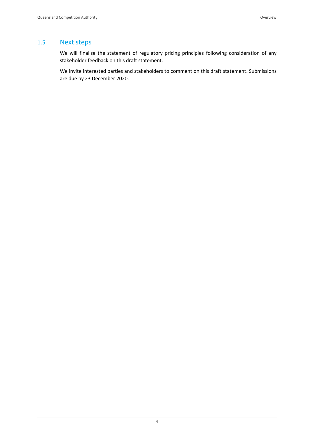# <span id="page-7-0"></span>1.5 Next steps

We will finalise the statement of regulatory pricing principles following consideration of any stakeholder feedback on this draft statement.

We invite interested parties and stakeholders to comment on this draft statement. Submissions are due by 23 December 2020.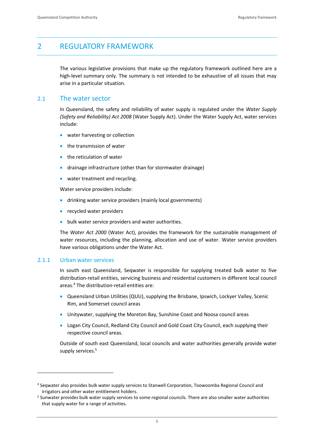# <span id="page-8-0"></span>2 REGULATORY FRAMEWORK

The various legislative provisions that make up the regulatory framework outlined here are a high-level summary only. The summary is not intended to be exhaustive of all issues that may arise in a particular situation.

# <span id="page-8-1"></span>2.1 The water sector

In Queensland, the safety and reliability of water supply is regulated under the *Water Supply (Safety and Reliability) Act 2008* (Water Supply Act). Under the Water Supply Act, water services include:

- water harvesting or collection
- the transmission of water
- the reticulation of water
- drainage infrastructure (other than for stormwater drainage)
- water treatment and recycling.

Water service providers include:

- drinking water service providers (mainly local governments)
- recycled water providers
- bulk water service providers and water authorities.

The *Water Act 2000* (Water Act), provides the framework for the sustainable management of water resources, including the planning, allocation and use of water. Water service providers have various obligations under the Water Act.

# 2.1.1 Urban water services

In south east Queensland, Seqwater is responsible for supplying treated bulk water to five distribution-retail entities, servicing business and residential customers in different local council areas.<sup>4</sup> The distribution-retail entities are:

- Queensland Urban Utilities (QUU), supplying the Brisbane, Ipswich, Lockyer Valley, Scenic Rim, and Somerset council areas
- Unitywater, supplying the Moreton Bay, Sunshine Coast and Noosa council areas
- Logan City Council, Redland City Council and Gold Coast City Council, each supplying their respective council areas.

Outside of south east Queensland, local councils and water authorities generally provide water supply services.<sup>5</sup>

<sup>4</sup> Seqwater also provides bulk water supply services to Stanwell Corporation, Toowoomba Regional Council and irrigators and other water entitlement holders.

<sup>5</sup> Sunwater provides bulk water supply services to some regional councils. There are also smaller water authorities that supply water for a range of activities.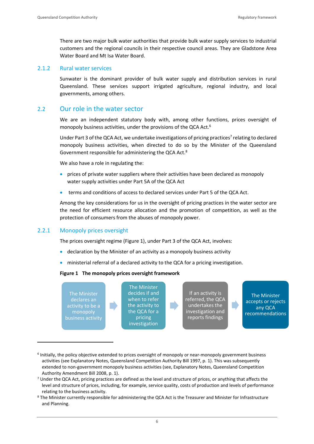There are two major bulk water authorities that provide bulk water supply services to industrial customers and the regional councils in their respective council areas. They are Gladstone Area Water Board and Mt Isa Water Board.

### 2.1.2 Rural water services

Sunwater is the dominant provider of bulk water supply and distribution services in rural Queensland. These services support irrigated agriculture, regional industry, and local governments, among others.

# <span id="page-9-0"></span>2.2 Our role in the water sector

We are an independent statutory body with, among other functions, prices oversight of monopoly business activities, under the provisions of the QCA Act.<sup>6</sup>

Under Part 3 of the QCA Act, we undertake investigations of pricing practices<sup>7</sup> relating to declared monopoly business activities, when directed to do so by the Minister of the Queensland Government responsible for administering the QCA Act.<sup>8</sup>

We also have a role in regulating the:

- prices of private water suppliers where their activities have been declared as monopoly water supply activities under Part 5A of the QCA Act
- terms and conditions of access to declared services under Part 5 of the QCA Act.

Among the key considerations for us in the oversight of pricing practices in the water sector are the need for efficient resource allocation and the promotion of competition, as well as the protection of consumers from the abuses of monopoly power.

# 2.2.1 Monopoly prices oversight

The prices oversight regime (Figure 1), under Part 3 of the QCA Act, involves:

- declaration by the Minister of an activity as a monopoly business activity
- ministerial referral of a declared activity to the QCA for a pricing investigation.

#### **Figure 1 The monopoly prices oversight framework**

| undertakes the<br>the activity to<br>activity to be a<br>any QCA<br>the QCA for a<br>investigation and<br>monopoly<br>reports findings<br>business activity<br>pricing<br>investigation | The Minister<br>declares an | The Minister<br>decides if and<br>when to refer |  | If an activity is<br>referred, the QCA |  | The Minister<br>accepts or rejects<br>recommendations |
|-----------------------------------------------------------------------------------------------------------------------------------------------------------------------------------------|-----------------------------|-------------------------------------------------|--|----------------------------------------|--|-------------------------------------------------------|
|-----------------------------------------------------------------------------------------------------------------------------------------------------------------------------------------|-----------------------------|-------------------------------------------------|--|----------------------------------------|--|-------------------------------------------------------|

<sup>&</sup>lt;sup>6</sup> Initially, the policy objective extended to prices oversight of monopoly or near-monopoly government business activities (see Explanatory Notes, Queensland Competition Authority Bill 1997, p. 1). This was subsequently extended to non-government monopoly business activities (see, Explanatory Notes, Queensland Competition Authority Amendment Bill 2008, p. 1).

 $7$  Under the QCA Act, pricing practices are defined as the level and structure of prices, or anything that affects the level and structure of prices, including, for example, service quality, costs of production and levels of performance relating to the business activity.

<sup>8</sup> The Minister currently responsible for administering the QCA Act is the Treasurer and Minister for Infrastructure and Planning.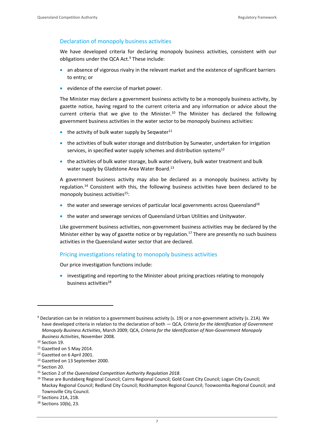#### Declaration of monopoly business activities

We have developed criteria for declaring monopoly business activities, consistent with our obligations under the QCA Act.<sup>9</sup> These include:

- an absence of vigorous rivalry in the relevant market and the existence of significant barriers to entry; or
- evidence of the exercise of market power.

The Minister may declare a government business activity to be a monopoly business activity, by gazette notice, having regard to the current criteria and any information or advice about the current criteria that we give to the Minister.<sup>10</sup> The Minister has declared the following government business activities in the water sector to be monopoly business activities:

- $\bullet$  the activity of bulk water supply by Seqwater<sup>11</sup>
- the activities of bulk water storage and distribution by Sunwater, undertaken for irrigation services, in specified water supply schemes and distribution systems<sup>12</sup>
- the activities of bulk water storage, bulk water delivery, bulk water treatment and bulk water supply by Gladstone Area Water Board.<sup>13</sup>

A government business activity may also be declared as a monopoly business activity by regulation.<sup>14</sup> Consistent with this, the following business activities have been declared to be monopoly business activities<sup>15</sup>:

- the water and sewerage services of particular local governments across Queensland<sup>16</sup>
- the water and sewerage services of Queensland Urban Utilities and Unitywater.

Like government business activities, non-government business activities may be declared by the Minister either by way of gazette notice or by regulation.<sup>17</sup> There are presently no such business activities in the Queensland water sector that are declared.

#### Pricing investigations relating to monopoly business activities

Our price investigation functions include:

• investigating and reporting to the Minister about pricing practices relating to monopoly business activities<sup>18</sup>

<sup>9</sup> Declaration can be in relation to a government business activity (s. 19) or a non-government activity (s. 21A). We have developed criteria in relation to the declaration of both — QCA, *Criteria for the Identification of Government Monopoly Business Activities*, March 2009; QCA, *Criteria for the Identification of Non-Government Monopoly Business Activities*, November 2008.

<sup>&</sup>lt;sup>10</sup> Section 19.

<sup>&</sup>lt;sup>11</sup> Gazetted on 5 May 2014.

<sup>12</sup> Gazetted on 6 April 2001.

<sup>13</sup> Gazetted on 13 September 2000.

<sup>&</sup>lt;sup>14</sup> Section 20.

<sup>15</sup> Section 2 of the *Queensland Competition Authority Regulation 2018*.

<sup>&</sup>lt;sup>16</sup> These are Bundaberg Regional Council; Cairns Regional Council; Gold Coast City Council; Logan City Council; Mackay Regional Council; Redland City Council; Rockhampton Regional Council; Toowoomba Regional Council; and Townsville City Council.

<sup>17</sup> Sections 21A, 21B.

<sup>18</sup> Sections 10(b), 23.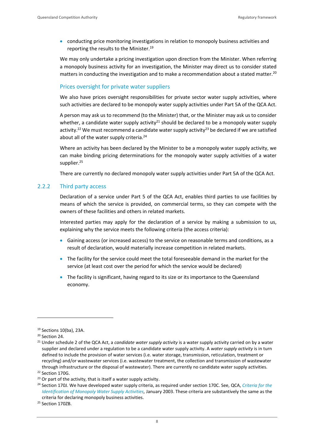• conducting price monitoring investigations in relation to monopoly business activities and reporting the results to the Minister.<sup>19</sup>

We may only undertake a pricing investigation upon direction from the Minister. When referring a monopoly business activity for an investigation, the Minister may direct us to consider stated matters in conducting the investigation and to make a recommendation about a stated matter.<sup>20</sup>

# Prices oversight for private water suppliers

We also have prices oversight responsibilities for private sector water supply activities, where such activities are declared to be monopoly water supply activities under Part 5A of the QCA Act.

A person may ask us to recommend (to the Minister) that, or the Minister may ask us to consider whether, a candidate water supply activity<sup>21</sup> should be declared to be a monopoly water supply activity.<sup>22</sup> We must recommend a candidate water supply activity<sup>23</sup> be declared if we are satisfied about all of the water supply criteria.<sup>24</sup>

Where an activity has been declared by the Minister to be a monopoly water supply activity, we can make binding pricing determinations for the monopoly water supply activities of a water supplier.<sup>25</sup>

There are currently no declared monopoly water supply activities under Part 5A of the QCA Act.

### 2.2.2 Third party access

Declaration of a service under Part 5 of the QCA Act, enables third parties to use facilities by means of which the service is provided, on commercial terms, so they can compete with the owners of these facilities and others in related markets.

Interested parties may apply for the declaration of a service by making a submission to us, explaining why the service meets the following criteria (the access criteria):

- Gaining access (or increased access) to the service on reasonable terms and conditions, as a result of declaration, would materially increase competition in related markets.
- The facility for the service could meet the total foreseeable demand in the market for the service (at least cost over the period for which the service would be declared)
- The facility is significant, having regard to its size or its importance to the Queensland economy.

<sup>19</sup> Sections 10(ba), 23A.

<sup>&</sup>lt;sup>20</sup> Section 24.

<sup>21</sup> Under schedule 2 of the QCA Act, a *candidate water supply activity* is a water supply activity carried on by a water supplier and declared under a regulation to be a candidate water supply activity. A *water supply activity* is in turn defined to include the provision of water services (i.e. water storage, transmission, reticulation, treatment or recycling) and/or wastewater services (i.e. wastewater treatment, the collection and transmission of wastewater through infrastructure or the disposal of wastewater). There are currently no candidate water supply activities. <sup>22</sup> Section 170G.

 $23$  Or part of the activity, that is itself a water supply activity.

<sup>24</sup> Section 170J. We have developed water supply criteria, as required under section 170C. See, QCA, *[Criteria for the](https://www.qca.org.au/wp-content/uploads/2019/05/4604_FinalCriteria-3.pdf)  [Identification of Monopoly Water Supply Activities,](https://www.qca.org.au/wp-content/uploads/2019/05/4604_FinalCriteria-3.pdf)* January 2003. These criteria are substantively the same as the criteria for declaring monopoly business activities.

<sup>&</sup>lt;sup>25</sup> Section 170ZB.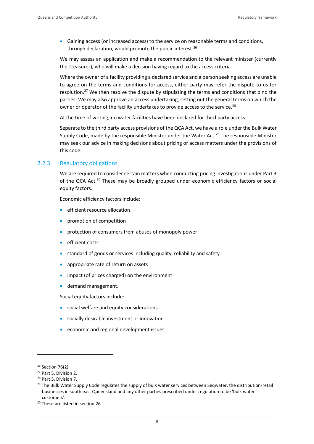• Gaining access (or increased access) to the service on reasonable terms and conditions, through declaration, would promote the public interest.<sup>26</sup>

We may assess an application and make a recommendation to the relevant minister (currently the Treasurer), who will make a decision having regard to the access criteria.

Where the owner of a facility providing a declared service and a person seeking access are unable to agree on the terms and conditions for access, either party may refer the dispute to us for resolution.<sup>27</sup> We then resolve the dispute by stipulating the terms and conditions that bind the parties. We may also approve an access undertaking, setting out the general terms on which the owner or operator of the facility undertakes to provide access to the service.<sup>28</sup>

At the time of writing, no water facilities have been declared for third party access.

Separate to the third party access provisions of the QCA Act, we have a role under the Bulk Water Supply Code, made by the responsible Minister under the Water Act.<sup>29</sup> The responsible Minister may seek our advice in making decisions about pricing or access matters under the provisions of this code.

#### 2.2.3 Regulatory obligations

We are required to consider certain matters when conducting pricing investigations under Part 3 of the QCA Act.<sup>30</sup> These may be broadly grouped under economic efficiency factors or social equity factors.

Economic efficiency factors include:

- efficient resource allocation
- promotion of competition
- protection of consumers from abuses of monopoly power
- efficient costs
- standard of goods or services including quality, reliability and safety
- appropriate rate of return on assets
- impact (of prices charged) on the environment
- demand management.

Social equity factors include:

- social welfare and equity considerations
- socially desirable investment or innovation
- economic and regional development issues.

<sup>26</sup> Section 76(2).

<sup>27</sup> Part 5, Division 2.

<sup>28</sup> Part 5, Division 7.

<sup>&</sup>lt;sup>29</sup> The Bulk Water Supply Code regulates the supply of bulk water services between Seqwater, the distribution-retail businesses in south east Queensland and any other parties prescribed under regulation to be 'bulk water customers'.

<sup>&</sup>lt;sup>30</sup> These are listed in section 26.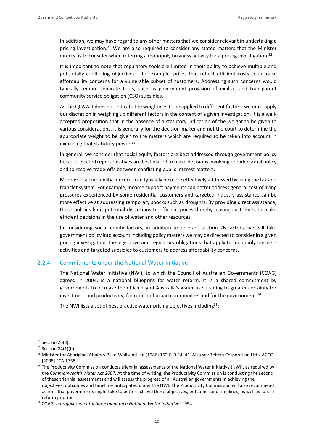In addition, we may have regard to any other matters that we consider relevant in undertaking a pricing investigation.<sup>31</sup> We are also required to consider any stated matters that the Minister directs us to consider when referring a monopoly business activity for a pricing investigation.<sup>32</sup>

It is important to note that regulatory tools are limited in their ability to achieve multiple and potentially conflicting objectives – for example, prices that reflect efficient costs could raise affordability concerns for a vulnerable subset of customers. Addressing such concerns would typically require separate tools, such as government provision of explicit and transparent community service obligation (CSO) subsidies.

As the QCA Act does not indicate the weightings to be applied to different factors, we must apply our discretion in weighing up different factors in the context of a given investigation. It is a wellaccepted proposition that in the absence of a statutory indication of the weight to be given to various considerations, it is generally for the decision-maker and not the court to determine the appropriate weight to be given to the matters which are required to be taken into account in exercising that statutory power.<sup>33</sup>

In general, we consider that social equity factors are best addressed through government policy because elected representatives are best placed to make decisions involving broader social policy and to resolve trade-offs between conflicting public interest matters.

Moreover, affordability concerns can typically be more effectively addressed by using the tax and transfer system. For example, income support payments can better address general cost of living pressures experienced by some residential customers and targeted industry assistance can be more effective at addressing temporary shocks such as droughts. By providing direct assistance, these policies limit potential distortions to efficient prices thereby leaving customers to make efficient decisions in the use of water and other resources.

In considering social equity factors, in addition to relevant section 26 factors, we will take government policy into account including policy matters we may be directed to consider in a given pricing investigation, the legislative and regulatory obligations that apply to monopoly business activities and targeted subsidies to customers to address affordability concerns.

#### 2.2.4 Commitments under the National Water Initiative

The National Water Initiative (NWI), to which the Council of Australian Governments (COAG) agreed in 2004, is a national blueprint for water reform. It is a shared commitment by governments to increase the efficiency of Australia's water use, leading to greater certainty for investment and productivity, for rural and urban communities and for the environment. $34$ 

The NWI lists a set of best practice water pricing objectives including<sup>35</sup>:

<sup>&</sup>lt;sup>31</sup> Section 26(3).

<sup>32</sup> Section 24(1)(b).

<sup>33</sup> Minister for Aboriginal Affairs v Peko-Wallsend Ltd (1986) 162 CLR 24, 41. Also see Telstra Corporation Ltd v ACCC [2008] FCA 1758.

<sup>&</sup>lt;sup>34</sup> The Productivity Commission conducts triennial assessments of the National Water Initiative (NWI), as required by the *Commonwealth Water Act 2007*. At the time of writing, the Productivity Commission is conducting the second of these triennial assessments and will assess the progress of all Australian governments in achieving the objectives, outcomes and timelines anticipated under the NWI. The Productivity Commission will also recommend actions that governments might take to better achieve these objectives, outcomes and timelines, as well as future reform priorities.

<sup>35</sup> COAG, *Intergovernmental Agreement on a National Water Initiative*, 1994.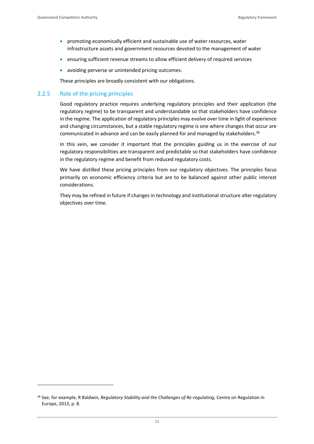- promoting economically efficient and sustainable use of water resources, water infrastructure assets and government resources devoted to the management of water
- ensuring sufficient revenue streams to allow efficient delivery of required services
- avoiding perverse or unintended pricing outcomes.

These principles are broadly consistent with our obligations.

#### 2.2.5 Role of the pricing principles

Good regulatory practice requires underlying regulatory principles and their application (the regulatory regime) to be transparent and understandable so that stakeholders have confidence in the regime. The application of regulatory principles may evolve over time in light of experience and changing circumstances, but a stable regulatory regime is one where changes that occur are communicated in advance and can be easily planned for and managed by stakeholders.<sup>36</sup>

In this vein, we consider it important that the principles guiding us in the exercise of our regulatory responsibilities are transparent and predictable so that stakeholders have confidence in the regulatory regime and benefit from reduced regulatory costs.

We have distilled these pricing principles from our regulatory objectives. The principles focus primarily on economic efficiency criteria but are to be balanced against other public interest considerations.

They may be refined in future if changes in technology and institutional structure alter regulatory objectives over time.

<sup>36</sup> See, for example, R Baldwin, *Regulatory Stability and the Challenges of Re-regulating*, Centre on Regulation in Europe, 2013, p. 8.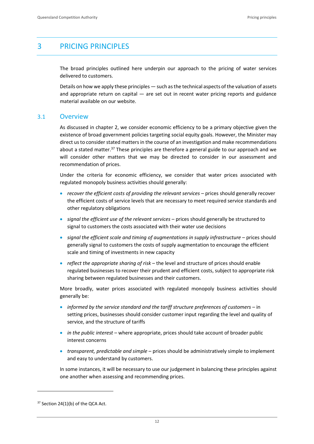# <span id="page-15-0"></span>3 PRICING PRINCIPLES

The broad principles outlined here underpin our approach to the pricing of water services delivered to customers.

Details on how we apply these principles — such as the technical aspects of the valuation of assets and appropriate return on capital — are set out in recent water pricing reports and guidance material available on our website.

### <span id="page-15-1"></span>3.1 Overview

As discussed in chapter 2, we consider economic efficiency to be a primary objective given the existence of broad government policies targeting social equity goals. However, the Minister may direct us to consider stated matters in the course of an investigation and make recommendations about a stated matter.<sup>37</sup> These principles are therefore a general guide to our approach and we will consider other matters that we may be directed to consider in our assessment and recommendation of prices.

Under the criteria for economic efficiency, we consider that water prices associated with regulated monopoly business activities should generally:

- *recover the efficient costs of providing the relevant services* prices should generally recover the efficient costs of service levels that are necessary to meet required service standards and other regulatory obligations
- *signal the efficient use of the relevant services* prices should generally be structured to signal to customers the costs associated with their water use decisions
- *signal the efficient scale and timing of augmentations in supply infrastructure* prices should generally signal to customers the costs of supply augmentation to encourage the efficient scale and timing of investments in new capacity
- *reflect the appropriate sharing of risk* the level and structure of prices should enable regulated businesses to recover their prudent and efficient costs, subject to appropriate risk sharing between regulated businesses and their customers.

More broadly, water prices associated with regulated monopoly business activities should generally be:

- *informed by the service standard and the tariff structure preferences of customers* in setting prices, businesses should consider customer input regarding the level and quality of service, and the structure of tariffs
- *in the public interest* where appropriate, prices should take account of broader public interest concerns
- *transparent, predictable and simple* prices should be administratively simple to implement and easy to understand by customers.

In some instances, it will be necessary to use our judgement in balancing these principles against one another when assessing and recommending prices.

 $37$  Section 24(1)(b) of the QCA Act.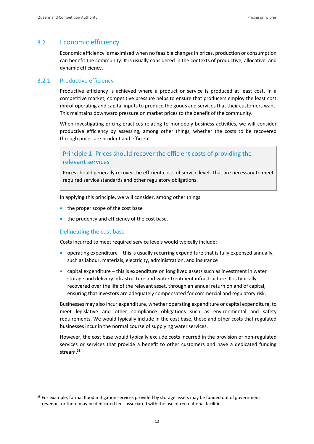# <span id="page-16-0"></span>3.2 Economic efficiency

Economic efficiency is maximised when no feasible changes in prices, production or consumption can benefit the community. It is usually considered in the contexts of productive, allocative, and dynamic efficiency.

# 3.2.1 Productive efficiency

Productive efficiency is achieved where a product or service is produced at least cost. In a competitive market, competitive pressure helps to ensure that producers employ the least cost mix of operating and capital inputs to produce the goods and services that their customers want. This maintains downward pressure on market prices to the benefit of the community.

When investigating pricing practices relating to monopoly business activities, we will consider productive efficiency by assessing, among other things, whether the costs to be recovered through prices are prudent and efficient.

# Principle 1: Prices should recover the efficient costs of providing the relevant services

Prices should generally recover the efficient costs of service levels that are necessary to meet required service standards and other regulatory obligations.

In applying this principle, we will consider, among other things:

- the proper scope of the cost base
- the prudency and efficiency of the cost base.

#### Delineating the cost base

Costs incurred to meet required service levels would typically include:

- operating expenditure  $-$  this is usually recurring expenditure that is fully expensed annually, such as labour, materials, electricity, administration, and insurance
- capital expenditure this is expenditure on long lived assets such as investment in water storage and delivery infrastructure and water treatment infrastructure. It is typically recovered over the life of the relevant asset, through an annual return on and of capital, ensuring that investors are adequately compensated for commercial and regulatory risk.

Businesses may also incur expenditure, whether operating expenditure or capital expenditure, to meet legislative and other compliance obligations such as environmental and safety requirements. We would typically include in the cost base, these and other costs that regulated businesses incur in the normal course of supplying water services.

However, the cost base would typically exclude costs incurred in the provision of non-regulated services or services that provide a benefit to other customers and have a dedicated funding stream.<sup>38</sup>

<sup>&</sup>lt;sup>38</sup> For example, formal flood mitigation services provided by storage assets may be funded out of government revenue, or there may be dedicated fees associated with the use of recreational facilities.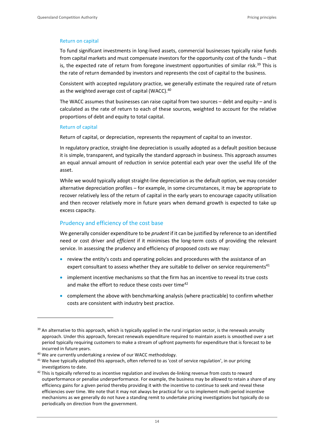#### Return on capital

To fund significant investments in long-lived assets, commercial businesses typically raise funds from capital markets and must compensate investors for the opportunity cost of the funds – that is, the expected rate of return from foregone investment opportunities of similar risk.<sup>39</sup> This is the rate of return demanded by investors and represents the cost of capital to the business.

Consistent with accepted regulatory practice, we generally estimate the required rate of return as the weighted average cost of capital (WACC).<sup>40</sup>

The WACC assumes that businesses can raise capital from two sources  $-$  debt and equity  $-$  and is calculated as the rate of return to each of these sources, weighted to account for the relative proportions of debt and equity to total capital.

#### Return of capital

Return of capital, or depreciation, represents the repayment of capital to an investor.

In regulatory practice, straight‐line depreciation is usually adopted as a default position because it is simple, transparent, and typically the standard approach in business. This approach assumes an equal annual amount of reduction in service potential each year over the useful life of the asset.

While we would typically adopt straight-line depreciation as the default option, we may consider alternative depreciation profiles – for example, in some circumstances, it may be appropriate to recover relatively less of the return of capital in the early years to encourage capacity utilisation and then recover relatively more in future years when demand growth is expected to take up excess capacity.

#### Prudency and efficiency of the cost base

We generally consider expenditure to be *prudent* if it can be justified by reference to an identified need or cost driver and *efficient* if it minimises the long-term costs of providing the relevant service. In assessing the prudency and efficiency of proposed costs we may:

- review the entity's costs and operating policies and procedures with the assistance of an expert consultant to assess whether they are suitable to deliver on service requirements $41$
- implement incentive mechanisms so that the firm has an incentive to reveal its true costs and make the effort to reduce these costs over time<sup>42</sup>
- complement the above with benchmarking analysis (where practicable) to confirm whether costs are consistent with industry best practice.

 $39$  An alternative to this approach, which is typically applied in the rural irrigation sector, is the renewals annuity approach. Under this approach, forecast renewals expenditure required to maintain assets is smoothed over a set period typically requiring customers to make a stream of upfront payments for expenditure that is forecast to be incurred in future years.

<sup>40</sup> We are currently undertaking a review of our WACC methodology.

<sup>&</sup>lt;sup>41</sup> We have typically adopted this approach, often referred to as 'cost of service regulation', in our pricing investigations to date.

<sup>&</sup>lt;sup>42</sup> This is typically referred to as incentive regulation and involves de-linking revenue from costs to reward outperformance or penalise underperformance. For example, the business may be allowed to retain a share of any efficiency gains for a given period thereby providing it with the incentive to continue to seek and reveal these efficiencies over time. We note that it may not always be practical for us to implement multi-period incentive mechanisms as we generally do not have a standing remit to undertake pricing investigations but typically do so periodically on direction from the government.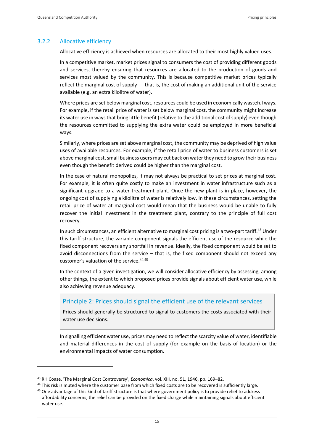#### 3.2.2 Allocative efficiency

Allocative efficiency is achieved when resources are allocated to their most highly valued uses.

In a competitive market, market prices signal to consumers the cost of providing different goods and services, thereby ensuring that resources are allocated to the production of goods and services most valued by the community. This is because competitive market prices typically reflect the marginal cost of supply — that is, the cost of making an additional unit of the service available (e.g. an extra kilolitre of water).

Where prices are set below marginal cost, resources could be used in economically wasteful ways. For example, if the retail price of water is set below marginal cost, the community might increase its water use in ways that bring little benefit (relative to the additional cost of supply) even though the resources committed to supplying the extra water could be employed in more beneficial ways.

Similarly, where prices are set above marginal cost, the community may be deprived of high value uses of available resources. For example, if the retail price of water to business customers is set above marginal cost, small business users may cut back on water they need to grow their business even though the benefit derived could be higher than the marginal cost.

In the case of natural monopolies, it may not always be practical to set prices at marginal cost. For example, it is often quite costly to make an investment in water infrastructure such as a significant upgrade to a water treatment plant. Once the new plant is in place, however, the ongoing cost of supplying a kilolitre of water is relatively low. In these circumstances, setting the retail price of water at marginal cost would mean that the business would be unable to fully recover the initial investment in the treatment plant, contrary to the principle of full cost recovery.

In such circumstances, an efficient alternative to marginal cost pricing is a two-part tariff.<sup>43</sup> Under this tariff structure, the variable component signals the efficient use of the resource while the fixed component recovers any shortfall in revenue. Ideally, the fixed component would be set to avoid disconnections from the service – that is, the fixed component should not exceed any customer's valuation of the service.<sup>44,45</sup>

In the context of a given investigation, we will consider allocative efficiency by assessing, among other things, the extent to which proposed prices provide signals about efficient water use, while also achieving revenue adequacy.

# Principle 2: Prices should signal the efficient use of the relevant services

Prices should generally be structured to signal to customers the costs associated with their water use decisions.

In signalling efficient water use, prices may need to reflect the scarcity value of water, identifiable and material differences in the cost of supply (for example on the basis of location) or the environmental impacts of water consumption.

<sup>43</sup> RH Coase, 'The Marginal Cost Controversy', *Economica*, vol. XIII, no. 51, 1946, pp. 169–82.

<sup>&</sup>lt;sup>44</sup> This risk is muted where the customer base from which fixed costs are to be recovered is sufficiently large.

<sup>&</sup>lt;sup>45</sup> One advantage of this kind of tariff structure is that where government policy is to provide relief to address affordability concerns, the relief can be provided on the fixed charge while maintaining signals about efficient water use.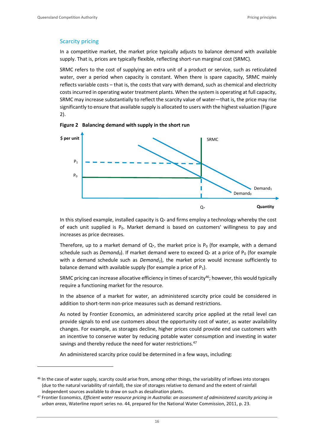#### Scarcity pricing

In a competitive market, the market price typically adjusts to balance demand with available supply. That is, prices are typically flexible, reflecting short-run marginal cost (SRMC).

SRMC refers to the cost of supplying an extra unit of a product or service, such as reticulated water, over a period when capacity is constant. When there is spare capacity, SRMC mainly reflects variable costs – that is, the costs that vary with demand, such as chemical and electricity costs incurred in operating water treatment plants. When the system is operating at full capacity, SRMC may increase substantially to reflect the scarcity value of water—that is, the price may rise significantly to ensure that available supply is allocated to users with the highest valuation (Figure 2).





In this stylised example, installed capacity is  $Q*$  and firms employ a technology whereby the cost of each unit supplied is  $P_0$ . Market demand is based on customers' willingness to pay and increases as price decreases.

Therefore, up to a market demand of  $Q<sub>*</sub>$ , the market price is P<sub>0</sub> (for example, with a demand schedule such as *Demand*<sup> $0$ </sup>. If market demand were to exceed  $Q<sub>*</sub>$  at a price of P<sub>0</sub> (for example with a demand schedule such as *Demand1*), the market price would increase sufficiently to balance demand with available supply (for example a price of  $P_1$ ).

SRMC pricing can increase allocative efficiency in times of scarcity<sup>46</sup>; however, this would typically require a functioning market for the resource.

In the absence of a market for water, an administered scarcity price could be considered in addition to short-term non-price measures such as demand restrictions.

As noted by Frontier Economics, an administered scarcity price applied at the retail level can provide signals to end use customers about the opportunity cost of water, as water availability changes. For example, as storages decline, higher prices could provide end use customers with an incentive to conserve water by reducing potable water consumption and investing in water savings and thereby reduce the need for water restrictions.<sup>47</sup>

An administered scarcity price could be determined in a few ways, including:

<sup>&</sup>lt;sup>46</sup> In the case of water supply, scarcity could arise from, among other things, the variability of inflows into storages (due to the natural variability of rainfall), the size of storages relative to demand and the extent of rainfall independent sources available to draw on such as desalination plants.

<sup>47</sup> Frontier Economics, *Efficient water resource pricing in Australia: an assessment of administered scarcity pricing in urban areas*, Waterline report series no. 44, prepared for the National Water Commission, 2011, p. 23.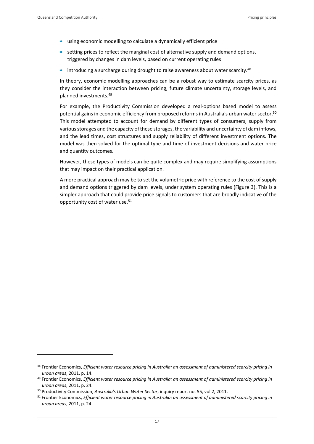- using economic modelling to calculate a dynamically efficient price
- setting prices to reflect the marginal cost of alternative supply and demand options, triggered by changes in dam levels, based on current operating rules
- introducing a surcharge during drought to raise awareness about water scarcity.<sup>48</sup>

In theory, economic modelling approaches can be a robust way to estimate scarcity prices, as they consider the interaction between pricing, future climate uncertainty, storage levels, and planned investments.<sup>49</sup>

For example, the Productivity Commission developed a real-options based model to assess potential gains in economic efficiency from proposed reforms in Australia's urban water sector. 50 This model attempted to account for demand by different types of consumers, supply from various storages and the capacity of these storages, the variability and uncertainty of dam inflows, and the lead times, cost structures and supply reliability of different investment options. The model was then solved for the optimal type and time of investment decisions and water price and quantity outcomes.

However, these types of models can be quite complex and may require simplifying assumptions that may impact on their practical application.

A more practical approach may be to set the volumetric price with reference to the cost of supply and demand options triggered by dam levels, under system operating rules (Figure 3). This is a simpler approach that could provide price signals to customers that are broadly indicative of the opportunity cost of water use.<sup>51</sup>

<sup>48</sup> Frontier Economics, *Efficient water resource pricing in Australia: an assessment of administered scarcity pricing in urban areas*, 2011, p. 14.

<sup>49</sup> Frontier Economics, *Efficient water resource pricing in Australia: an assessment of administered scarcity pricing in urban areas*, 2011, p. 24.

<sup>50</sup> Productivity Commission, *Australia's Urban Water Sector*, inquiry report no. 55, vol 2, 2011.

<sup>51</sup> Frontier Economics, *Efficient water resource pricing in Australia: an assessment of administered scarcity pricing in urban areas*, 2011, p. 24.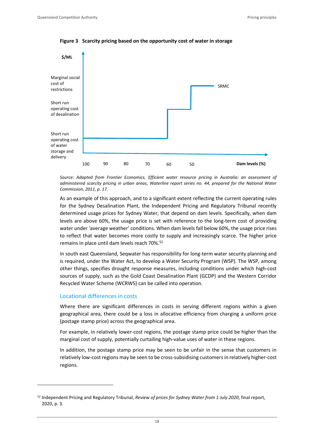

**Figure 3 Scarcity pricing based on the opportunity cost of water in storage**

*Source: Adapted from Frontier Economics, Efficient water resource pricing in Australia: an assessment of administered scarcity pricing in urban areas, Waterline report series no. 44, prepared for the National Water Commission, 2011, p. 17.*

As an example of this approach, and to a significant extent reflecting the current operating rules for the Sydney Desalination Plant, the Independent Pricing and Regulatory Tribunal recently determined usage prices for Sydney Water, that depend on dam levels. Specifically, when dam levels are above 60%, the usage price is set with reference to the long-term cost of providing water under 'average weather' conditions. When dam levels fall below 60%, the usage price rises to reflect that water becomes more costly to supply and increasingly scarce. The higher price remains in place until dam levels reach 70%.<sup>52</sup>

In south east Queensland, Seqwater has responsibility for long-term water security planning and is required, under the Water Act, to develop a Water Security Program (WSP). The WSP, among other things, specifies drought response measures, including conditions under which high-cost sources of supply, such as the Gold Coast Desalination Plant (GCDP) and the Western Corridor Recycled Water Scheme (WCRWS) can be called into operation.

#### Locational differences in costs

Where there are significant differences in costs in serving different regions within a given geographical area, there could be a loss in allocative efficiency from charging a uniform price (postage stamp price) across the geographical area.

For example, in relatively lower-cost regions, the postage stamp price could be higher than the marginal cost of supply, potentially curtailing high-value uses of water in these regions.

In addition, the postage stamp price may be seen to be unfair in the sense that customers in relatively low-cost regions may be seen to be cross-subsidising customers in relatively higher-cost regions.

<sup>52</sup> Independent Pricing and Regulatory Tribunal, *Review of prices for Sydney Water from 1 July 2020*, final report, 2020, p. 3.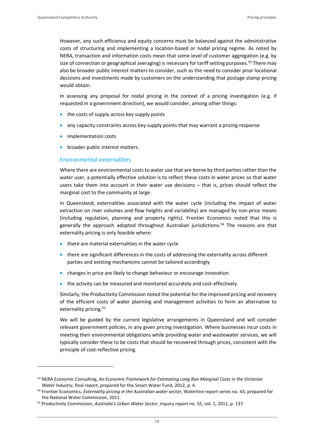However, any such efficiency and equity concerns must be balanced against the administrative costs of structuring and implementing a location-based or nodal pricing regime. As noted by NERA, transaction and information costs mean that some level of customer aggregation (e.g. by size of connection or geographical averaging) is necessary for tariff setting purposes.<sup>53</sup> There may also be broader public interest matters to consider, such as the need to consider prior locational decisions and investments made by customers on the understanding that postage stamp pricing would obtain.

In assessing any proposal for nodal pricing in the context of a pricing investigation (e.g. if requested in a government direction), we would consider, among other things:

- the costs of supply across key supply points
- any capacity constraints across key supply points that may warrant a pricing response
- implementation costs
- broader public interest matters.

#### Environmental externalities

Where there are environmental costs to water use that are borne by third parties rather than the water user, a potentially effective solution is to reflect these costs in water prices so that water users take them into account in their water use decisions – that is, prices should reflect the marginal cost to the community at large.

In Queensland, externalities associated with the water cycle (including the impact of water extraction on river volumes and flow heights and variability) are managed by non-price means (including regulation, planning and property rights). Frontier Economics noted that this is generally the approach adopted throughout Australian jurisdictions.<sup>54</sup> The reasons are that externality pricing is only feasible where:

- there are material externalities in the water cycle
- there are significant differences in the costs of addressing the externality across different parties and existing mechanisms cannot be tailored accordingly
- changes in price are likely to change behaviour or encourage innovation
- the activity can be measured and monitored accurately and cost-effectively.

Similarly, the Productivity Commission noted the potential for the improved pricing and recovery of the efficient costs of water planning and management activities to form an alternative to externality pricing.<sup>55</sup>

We will be guided by the current legislative arrangements in Queensland and will consider relevant government policies, in any given pricing investigation. Where businesses incur costs in meeting their environmental obligations while providing water and wastewater services, we will typically consider these to be costs that should be recovered through prices, consistent with the principle of cost-reflective pricing.

<sup>53</sup> NERA Economic Consulting, *An Economic Framework for Estimating Long Run Marginal Costs in the Victorian Water Industry*, final report, prepared for the Smart Water Fund, 2012, p. 4.

<sup>54</sup> Frontier Economics, *Externality pricing in the Australian water sector*, Waterline report series no. 43, prepared for the National Water Commission, 2011.

<sup>55</sup> Productivity Commission, *Australia's Urban Water Sector*, inquiry report no. 55, vol. 1, 2011, p. 137.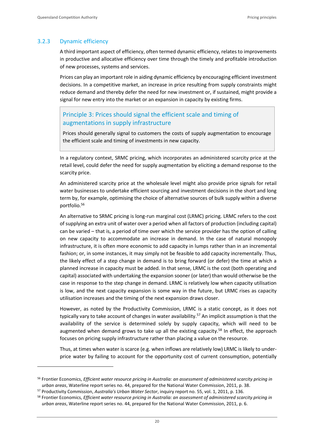#### 3.2.3 Dynamic efficiency

A third important aspect of efficiency, often termed dynamic efficiency, relates to improvements in productive and allocative efficiency over time through the timely and profitable introduction of new processes, systems and services.

Prices can play an important role in aiding dynamic efficiency by encouraging efficient investment decisions. In a competitive market, an increase in price resulting from supply constraints might reduce demand and thereby defer the need for new investment or, if sustained, might provide a signal for new entry into the market or an expansion in capacity by existing firms.

# Principle 3: Prices should signal the efficient scale and timing of augmentations in supply infrastructure

Prices should generally signal to customers the costs of supply augmentation to encourage the efficient scale and timing of investments in new capacity.

In a regulatory context, SRMC pricing, which incorporates an administered scarcity price at the retail level, could defer the need for supply augmentation by eliciting a demand response to the scarcity price.

An administered scarcity price at the wholesale level might also provide price signals for retail water businesses to undertake efficient sourcing and investment decisions in the short and long term by, for example, optimising the choice of alternative sources of bulk supply within a diverse portfolio.<sup>56</sup>

An alternative to SRMC pricing is long-run marginal cost (LRMC) pricing. LRMC refers to the cost of supplying an extra unit of water over a period when all factors of production (including capital) can be varied – that is, a period of time over which the service provider has the option of calling on new capacity to accommodate an increase in demand. In the case of natural monopoly infrastructure, it is often more economic to add capacity in lumps rather than in an incremental fashion; or, in some instances, it may simply not be feasible to add capacity incrementally. Thus, the likely effect of a step change in demand is to bring forward (or defer) the time at which a planned increase in capacity must be added. In that sense, LRMC is the cost (both operating and capital) associated with undertaking the expansion sooner (or later) than would otherwise be the case in response to the step change in demand. LRMC is relatively low when capacity utilisation is low, and the next capacity expansion is some way in the future, but LRMC rises as capacity utilisation increases and the timing of the next expansion draws closer.

However, as noted by the Productivity Commission, LRMC is a static concept, as it does not typically vary to take account of changes in water availability.<sup>57</sup> An implicit assumption is that the availability of the service is determined solely by supply capacity, which will need to be augmented when demand grows to take up all the existing capacity.<sup>58</sup> In effect, the approach focuses on pricing supply infrastructure rather than placing a value on the resource.

Thus, at times when water is scarce (e.g. when inflows are relatively low) LRMC is likely to underprice water by failing to account for the opportunity cost of current consumption, potentially

<sup>56</sup> Frontier Economics, *Efficient water resource pricing in Australia: an assessment of administered scarcity pricing in urban areas*, Waterline report series no. 44, prepared for the National Water Commission, 2011, p. 38.

<sup>57</sup> Productivity Commission, *Australia's Urban Water Sector*, inquiry report no. 55, vol. 1, 2011, p. 136.

<sup>58</sup> Frontier Economics, *Efficient water resource pricing in Australia: an assessment of administered scarcity pricing in urban areas*, Waterline report series no. 44, prepared for the National Water Commission, 2011, p. 6.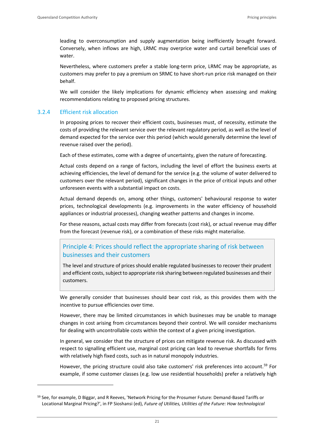leading to overconsumption and supply augmentation being inefficiently brought forward. Conversely, when inflows are high, LRMC may overprice water and curtail beneficial uses of water.

Nevertheless, where customers prefer a stable long-term price, LRMC may be appropriate, as customers may prefer to pay a premium on SRMC to have short-run price risk managed on their behalf.

We will consider the likely implications for dynamic efficiency when assessing and making recommendations relating to proposed pricing structures.

# 3.2.4 Efficient risk allocation

In proposing prices to recover their efficient costs, businesses must, of necessity, estimate the costs of providing the relevant service over the relevant regulatory period, as well as the level of demand expected for the service over this period (which would generally determine the level of revenue raised over the period).

Each of these estimates, come with a degree of uncertainty, given the nature of forecasting.

Actual costs depend on a range of factors, including the level of effort the business exerts at achieving efficiencies, the level of demand for the service (e.g. the volume of water delivered to customers over the relevant period), significant changes in the price of critical inputs and other unforeseen events with a substantial impact on costs.

Actual demand depends on, among other things, customers' behavioural response to water prices, technological developments (e.g. improvements in the water efficiency of household appliances or industrial processes), changing weather patterns and changes in income.

For these reasons, actual costs may differ from forecasts (cost risk), or actual revenue may differ from the forecast (revenue risk), or a combination of these risks might materialise.

# Principle 4: Prices should reflect the appropriate sharing of risk between businesses and their customers

The level and structure of prices should enable regulated businesses to recover their prudent and efficient costs, subject to appropriate risk sharing between regulated businesses and their customers.

We generally consider that businesses should bear cost risk, as this provides them with the incentive to pursue efficiencies over time.

However, there may be limited circumstances in which businesses may be unable to manage changes in cost arising from circumstances beyond their control. We will consider mechanisms for dealing with uncontrollable costs within the context of a given pricing investigation.

In general, we consider that the structure of prices can mitigate revenue risk. As discussed with respect to signalling efficient use, marginal cost pricing can lead to revenue shortfalls for firms with relatively high fixed costs, such as in natural monopoly industries.

However, the pricing structure could also take customers' risk preferences into account.<sup>59</sup> For example, if some customer classes (e.g. low use residential households) prefer a relatively high

<sup>&</sup>lt;sup>59</sup> See, for example, D Biggar, and R Reeves, 'Network Pricing for the Prosumer Future: Demand-Based Tariffs or Locational Marginal Pricing?', in FP Sioshansi (ed), *Future of Utilities, Utilities of the Future: How technological*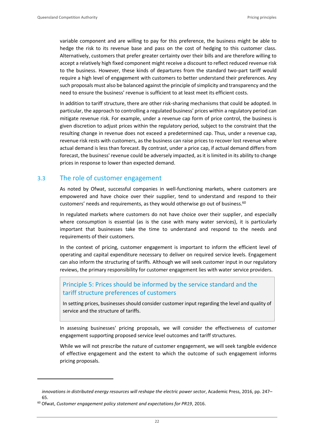variable component and are willing to pay for this preference, the business might be able to hedge the risk to its revenue base and pass on the cost of hedging to this customer class. Alternatively, customers that prefer greater certainty over their bills and are therefore willing to accept a relatively high fixed component might receive a discount to reflect reduced revenue risk to the business. However, these kinds of departures from the standard two-part tariff would require a high level of engagement with customers to better understand their preferences. Any such proposals must also be balanced against the principle of simplicity and transparency and the need to ensure the business' revenue is sufficient to at least meet its efficient costs.

In addition to tariff structure, there are other risk-sharing mechanisms that could be adopted. In particular, the approach to controlling a regulated business' prices within a regulatory period can mitigate revenue risk. For example, under a revenue cap form of price control, the business is given discretion to adjust prices within the regulatory period, subject to the constraint that the resulting change in revenue does not exceed a predetermined cap. Thus, under a revenue cap, revenue risk rests with customers, as the business can raise prices to recover lost revenue where actual demand is less than forecast. By contrast, under a price cap, if actual demand differs from forecast, the business' revenue could be adversely impacted, as it is limited in its ability to change prices in response to lower than expected demand.

# <span id="page-25-0"></span>3.3 The role of customer engagement

As noted by Ofwat, successful companies in well-functioning markets, where customers are empowered and have choice over their supplier, tend to understand and respond to their customers' needs and requirements, as they would otherwise go out of business.<sup>60</sup>

In regulated markets where customers do not have choice over their supplier, and especially where consumption is essential (as is the case with many water services), it is particularly important that businesses take the time to understand and respond to the needs and requirements of their customers.

In the context of pricing, customer engagement is important to inform the efficient level of operating and capital expenditure necessary to deliver on required service levels. Engagement can also inform the structuring of tariffs. Although we will seek customer input in our regulatory reviews, the primary responsibility for customer engagement lies with water service providers.

# Principle 5: Prices should be informed by the service standard and the tariff structure preferences of customers

In setting prices, businesses should consider customer input regarding the level and quality of service and the structure of tariffs.

In assessing businesses' pricing proposals, we will consider the effectiveness of customer engagement supporting proposed service level outcomes and tariff structures.

While we will not prescribe the nature of customer engagement, we will seek tangible evidence of effective engagement and the extent to which the outcome of such engagement informs pricing proposals.

*innovations in distributed energy resources will reshape the electric power sector*, Academic Press, 2016, pp. 247– 65.

<sup>60</sup> Ofwat, *Customer engagement policy statement and expectations for PR19*, 2016.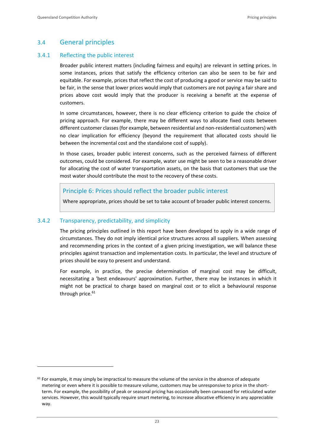# <span id="page-26-0"></span>3.4 General principles

### 3.4.1 Reflecting the public interest

Broader public interest matters (including fairness and equity) are relevant in setting prices. In some instances, prices that satisfy the efficiency criterion can also be seen to be fair and equitable. For example, prices that reflect the cost of producing a good or service may be said to be fair, in the sense that lower prices would imply that customers are not paying a fair share and prices above cost would imply that the producer is receiving a benefit at the expense of customers.

In some circumstances, however, there is no clear efficiency criterion to guide the choice of pricing approach. For example, there may be different ways to allocate fixed costs between different customer classes (for example, between residential and non-residential customers) with no clear implication for efficiency (beyond the requirement that allocated costs should lie between the incremental cost and the standalone cost of supply).

In those cases, broader public interest concerns, such as the perceived fairness of different outcomes, could be considered. For example, water use might be seen to be a reasonable driver for allocating the cost of water transportation assets, on the basis that customers that use the most water should contribute the most to the recovery of these costs.

# Principle 6: Prices should reflect the broader public interest

Where appropriate, prices should be set to take account of broader public interest concerns.

# 3.4.2 Transparency, predictability, and simplicity

The pricing principles outlined in this report have been developed to apply in a wide range of circumstances. They do not imply identical price structures across all suppliers. When assessing and recommending prices in the context of a given pricing investigation, we will balance these principles against transaction and implementation costs. In particular, the level and structure of prices should be easy to present and understand.

For example, in practice, the precise determination of marginal cost may be difficult, necessitating a 'best endeavours' approximation. Further, there may be instances in which it might not be practical to charge based on marginal cost or to elicit a behavioural response through price.<sup>61</sup>

 $61$  For example, it may simply be impractical to measure the volume of the service in the absence of adequate metering or even where it is possible to measure volume, customers may be unresponsive to price in the shortterm. For example, the possibility of peak or seasonal pricing has occasionally been canvassed for reticulated water services. However, this would typically require smart metering, to increase allocative efficiency in any appreciable way.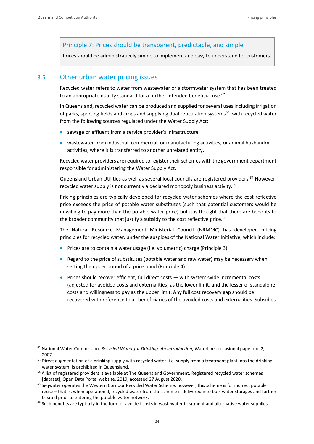# Principle 7: Prices should be transparent, predictable, and simple

Prices should be administratively simple to implement and easy to understand for customers.

# <span id="page-27-0"></span>3.5 Other urban water pricing issues

Recycled water refers to water from wastewater or a stormwater system that has been treated to an appropriate quality standard for a further intended beneficial use.<sup>62</sup>

In Queensland, recycled water can be produced and supplied for several uses including irrigation of parks, sporting fields and crops and supplying dual reticulation systems<sup>63</sup>, with recycled water from the following sources regulated under the Water Supply Act:

- sewage or effluent from a service provider's infrastructure
- wastewater from industrial, commercial, or manufacturing activities, or animal husbandry activities, where it is transferred to another unrelated entity.

Recycled water providers are required to register their schemes with the government department responsible for administering the Water Supply Act.

Queensland Urban Utilities as well as several local councils are registered providers.<sup>64</sup> However, recycled water supply is not currently a declared monopoly business activity.<sup>65</sup>

Pricing principles are typically developed for recycled water schemes where the cost-reflective price exceeds the price of potable water substitutes (such that potential customers would be unwilling to pay more than the potable water price) but it is thought that there are benefits to the broader community that justify a subsidy to the cost reflective price.<sup>66</sup>

The Natural Resource Management Ministerial Council (NRMMC) has developed pricing principles for recycled water, under the auspices of the National Water Initiative, which include:

- Prices are to contain a water usage (i.e. volumetric) charge (Principle 3).
- Regard to the price of substitutes (potable water and raw water) may be necessary when setting the upper bound of a price band (Principle 4).
- Prices should recover efficient, full direct costs with system-wide incremental costs (adjusted for avoided costs and externalities) as the lower limit, and the lesser of standalone costs and willingness to pay as the upper limit. Any full cost recovery gap should be recovered with reference to all beneficiaries of the avoided costs and externalities. Subsidies

<sup>62</sup> National Water Commission, *Recycled Water for Drinking: An Introduction*, Waterlines occasional paper no. 2, 2007.

 $63$  Direct augmentation of a drinking supply with recycled water (i.e. supply from a treatment plant into the drinking water system) is prohibited in Queensland.

<sup>&</sup>lt;sup>64</sup> A list of registered providers is available at The Queensland Government, Registered recycled water schemes [dataset], Open Data Portal website, 2019, accessed 27 August 2020.

<sup>&</sup>lt;sup>65</sup> Seqwater operates the Western Corridor Recycled Water Scheme; however, this scheme is for indirect potable reuse – that is, when operational, recycled water from the scheme is delivered into bulk water storages and further treated prior to entering the potable water network.

<sup>&</sup>lt;sup>66</sup> Such benefits are typically in the form of avoided costs in wastewater treatment and alternative water supplies.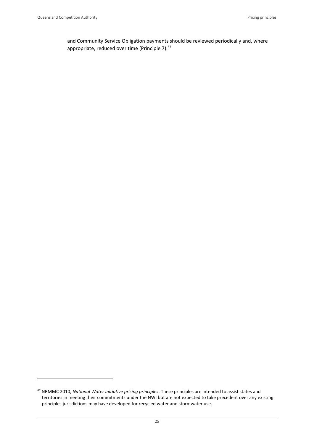and Community Service Obligation payments should be reviewed periodically and, where appropriate, reduced over time (Principle 7).<sup>67</sup>

<sup>67</sup> NRMMC 2010, *National Water Initiative pricing principles*. These principles are intended to assist states and territories in meeting their commitments under the NWI but are not expected to take precedent over any existing principles jurisdictions may have developed for recycled water and stormwater use.